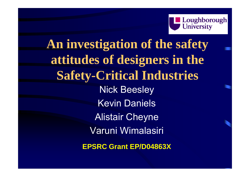

## **An investigation of the safety attitudes of designers in the Safety-Critical Industries** Nick Beesley Kevin Daniels Alistair Cheyne Varuni Wimalasiri **EPSRC Grant EP/D04863X**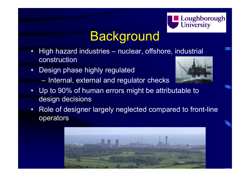

## **Background**

- • High hazard industries – nuclear, offshore, industrial construction
- $\bullet$  Design phase highly regulated
	- Internal, external and regulator checks



- • Up to 90% of human errors might be attributable to design decisions
- • Role of designer largely neglected compared to front-line operators

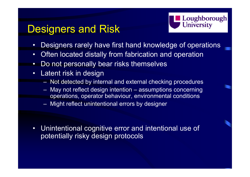### Designers and Risk



- •Designers rarely have first hand knowledge of operations
- •Often located distally from fabrication and operation
- •Do not personally bear risks themselves
- • Latent risk in design
	- Not detected by internal and external checking procedures
	- May not reflect design intention assumptions concerning operations, operator behaviour, environmental conditions
	- Might reflect unintentional errors by designer

 $\bullet$  Unintentional cognitive error and intentional use of potentially risky design protocols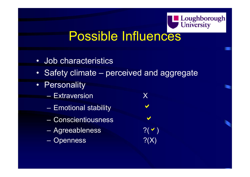

### Possible Influences

- •Job characteristics
- •Safety climate – perceived and aggregate
- $\bullet$ **Personality** 
	- Extraversion X
	- Emotional stability
	- Conscientiousness
	- Agreeableness ?(
	- Openness ?(X)

a $\blacktriangledown$ 

a

a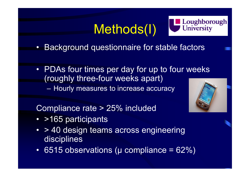# Methods(I)



- •Background questionnaire for stable factors
- PDAs four times per day for up to four weeks (roughly three-four weeks apart)  $\mathcal{L}_{\mathcal{A}}$ – Hourly measures to increase accuracy



Compliance rate > 25% included

- >165 participants
- > 40 design teams across engineering disciplines
- 6515 observations (μ compliance = 62%)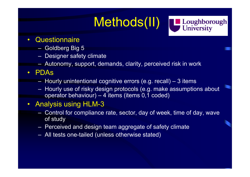# Methods(II)

Loughborough<br>
University

#### $\bullet$ **Questionnaire**

- Goldberg Big 5
- $-$  Designer safety climate
- Autonomy, support, demands, clarity, perceived risk in work

#### $\bullet$ PDAs

- Hourly unintentional cognitive errors (e.g. recall) 3 items
- Hourly use of risky design protocols (e.g. make assumptions about operator behaviour) – 4 items (items 0,1 coded)

#### $\bullet$ Analysis using HLM-3

- Control for compliance rate, sector, day of week, time of day, wave of study
- $-$  Perceived and design team aggregate of safety climate
- All tests one-tailed (unless otherwise stated)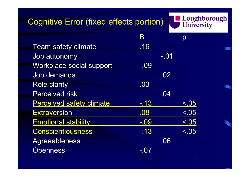### Cognitive Error (fixed effects portion)



|         |         | p      |
|---------|---------|--------|
| .16     |         |        |
|         |         |        |
| $-.09$  |         |        |
|         | .02     |        |
| .03     |         |        |
|         | .04     |        |
| $-.13$  |         | < .05  |
| .08     |         | < .05  |
| $-0.09$ |         | < .05  |
| $-.13$  |         | < .05  |
|         | .06     |        |
| - 0     |         |        |
|         | $\sf B$ | $-.01$ |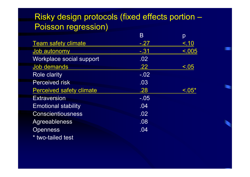### Risky design protocols (fixed effects portion – Poisson regression)

|                                 | Β      | p      |
|---------------------------------|--------|--------|
| <b>Team safety climate</b>      | $-.27$ | < .10  |
| Job autonomy                    | $-31$  | < .005 |
| Workplace social support        | .02    |        |
| Job demands                     | .22    | < 0.05 |
| <b>Role clarity</b>             | $-.02$ |        |
| <b>Perceived risk</b>           | .03    |        |
| <b>Perceived safety climate</b> | .28    | < 0.05 |
| <b>Extraversion</b>             | $-.05$ |        |
| <b>Emotional stability</b>      | .04    |        |
| <b>Conscientiousness</b>        | .02    |        |
| Agreeableness                   | .08    |        |
| <b>Openness</b>                 | .04    |        |
| * two-tailed test               |        |        |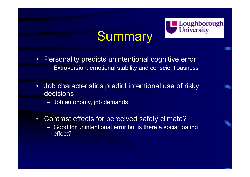

## **Summary**

- Personality predicts unintentional cognitive error
	- Extraversion, emotional stability and conscientiousness
- $\bullet$  Job characteristics predict intentional use of risky decisions
	- $\,$  Job autonomy, job demands
- • Contrast effects for perceived safety climate?
	- Good for unintentional error but is there a social loafing effect?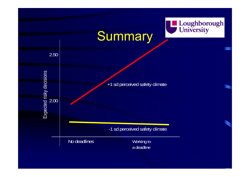

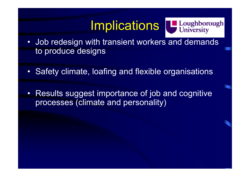### **Implications**



- Job redesign with transient workers and demands to produce designs
- •Safety climate, loafing and flexible organisations
- $\bullet$  Results suggest importance of job and cognitive processes (climate and personality)